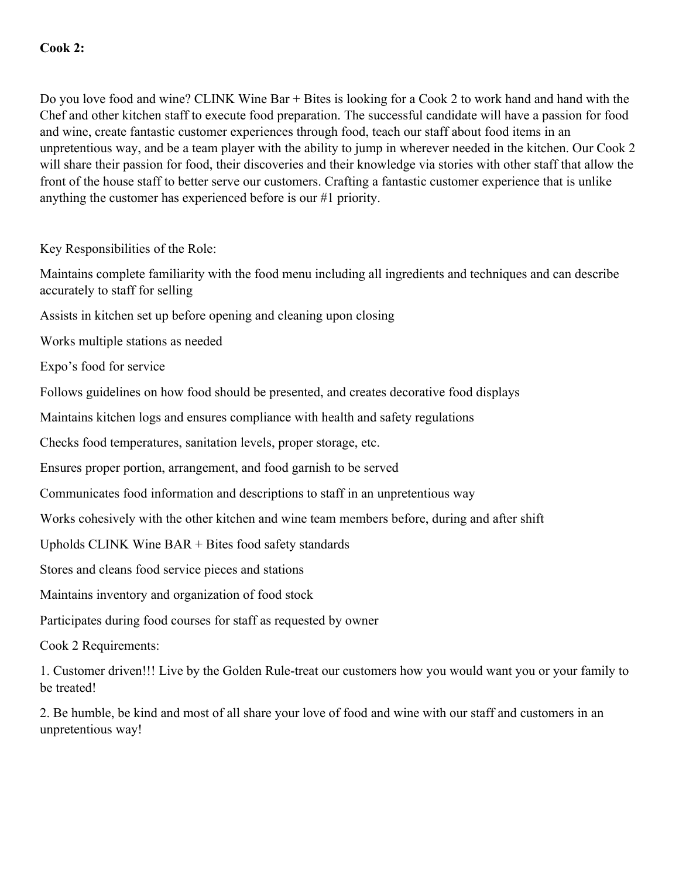Do you love food and wine? CLINK Wine Bar + Bites is looking for a Cook 2 to work hand and hand with the Chef and other kitchen staff to execute food preparation. The successful candidate will have a passion for food and wine, create fantastic customer experiences through food, teach our staff about food items in an unpretentious way, and be a team player with the ability to jump in wherever needed in the kitchen. Our Cook 2 will share their passion for food, their discoveries and their knowledge via stories with other staff that allow the front of the house staff to better serve our customers. Crafting a fantastic customer experience that is unlike anything the customer has experienced before is our #1 priority.

Key Responsibilities of the Role:

Maintains complete familiarity with the food menu including all ingredients and techniques and can describe accurately to staff for selling

Assists in kitchen set up before opening and cleaning upon closing

Works multiple stations as needed

Expo's food for service

Follows guidelines on how food should be presented, and creates decorative food displays

Maintains kitchen logs and ensures compliance with health and safety regulations

Checks food temperatures, sanitation levels, proper storage, etc.

Ensures proper portion, arrangement, and food garnish to be served

Communicates food information and descriptions to staff in an unpretentious way

Works cohesively with the other kitchen and wine team members before, during and after shift

Upholds CLINK Wine BAR + Bites food safety standards

Stores and cleans food service pieces and stations

Maintains inventory and organization of food stock

Participates during food courses for staff as requested by owner

Cook 2 Requirements:

1. Customer driven!!! Live by the Golden Rule-treat our customers how you would want you or your family to be treated!

2. Be humble, be kind and most of all share your love of food and wine with our staff and customers in an unpretentious way!